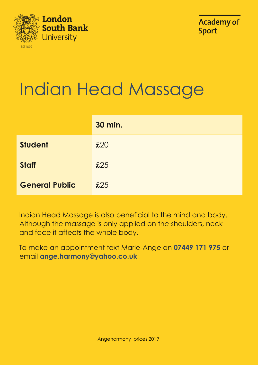



## Indian Head Massage

|                       | <b>30 min.</b> |
|-----------------------|----------------|
| <b>Student</b>        | £20            |
| <b>Staff</b>          | £25            |
| <b>General Public</b> | £25            |

Indian Head Massage is also beneficial to the mind and body. Although the massage is only applied on the shoulders, neck and face it affects the whole body.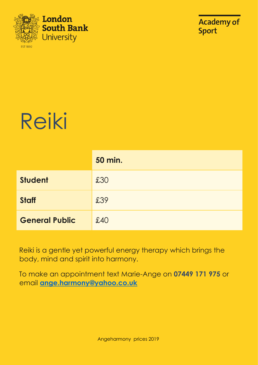



## Reiki

|                       | <b>50 min.</b> |
|-----------------------|----------------|
| <b>Student</b>        | £30            |
| <b>Staff</b>          | £39            |
| <b>General Public</b> | £40            |

Reiki is a gentle yet powerful energy therapy which brings the body, mind and spirit into harmony.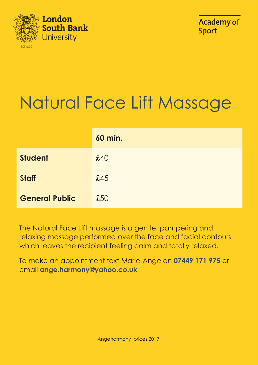



## Natural Face Lift Massage

|                       | <b>60 min.</b> |
|-----------------------|----------------|
| <b>Student</b>        | £40            |
| <b>Staff</b>          | £45            |
| <b>General Public</b> | £50            |

The Natural Face Lift massage is a gentle, pampering and relaxing massage performed over the face and facial contours which leaves the recipient feeling calm and totally relaxed.